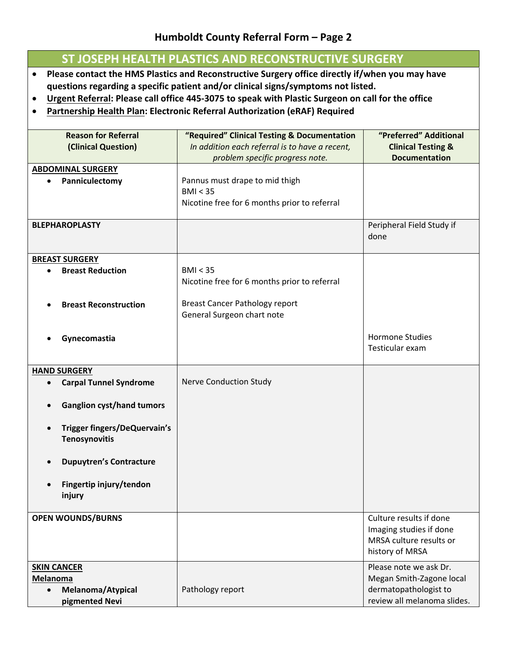## **Humboldt County Referral Form – Page 2**

## **ST JOSEPH HEALTH PLASTICS AND RECONSTRUCTIVE SURGERY**

- **Please contact the HMS Plastics and Reconstructive Surgery office directly if/when you may have questions regarding a specific patient and/or clinical signs/symptoms not listed.**
- Urgent Referral: Please call office 445-3075 to speak with Plastic Surgeon on call for the office
- **Partnership Health Plan: Electronic Referral Authorization (eRAF) Required**

| <b>Reason for Referral</b><br>(Clinical Question)                   | "Required" Clinical Testing & Documentation<br>In addition each referral is to have a recent,<br>problem specific progress note. | "Preferred" Additional<br><b>Clinical Testing &amp;</b><br><b>Documentation</b>                  |
|---------------------------------------------------------------------|----------------------------------------------------------------------------------------------------------------------------------|--------------------------------------------------------------------------------------------------|
| <b>ABDOMINAL SURGERY</b><br>Panniculectomy<br>$\bullet$             | Pannus must drape to mid thigh<br>BMI < 35<br>Nicotine free for 6 months prior to referral                                       |                                                                                                  |
| <b>BLEPHAROPLASTY</b>                                               |                                                                                                                                  | Peripheral Field Study if<br>done                                                                |
| <b>BREAST SURGERY</b><br><b>Breast Reduction</b>                    | BMI < 35<br>Nicotine free for 6 months prior to referral                                                                         |                                                                                                  |
| <b>Breast Reconstruction</b>                                        | <b>Breast Cancer Pathology report</b><br>General Surgeon chart note                                                              |                                                                                                  |
| Gynecomastia                                                        |                                                                                                                                  | <b>Hormone Studies</b><br>Testicular exam                                                        |
| <b>HAND SURGERY</b><br><b>Carpal Tunnel Syndrome</b><br>$\bullet$   | <b>Nerve Conduction Study</b>                                                                                                    |                                                                                                  |
| <b>Ganglion cyst/hand tumors</b>                                    |                                                                                                                                  |                                                                                                  |
| Trigger fingers/DeQuervain's<br>$\bullet$<br>Tenosynovitis          |                                                                                                                                  |                                                                                                  |
| <b>Dupuytren's Contracture</b>                                      |                                                                                                                                  |                                                                                                  |
| Fingertip injury/tendon<br>injury                                   |                                                                                                                                  |                                                                                                  |
| <b>OPEN WOUNDS/BURNS</b>                                            |                                                                                                                                  | Culture results if done<br>Imaging studies if done<br>MRSA culture results or<br>history of MRSA |
| <b>SKIN CANCER</b>                                                  |                                                                                                                                  | Please note we ask Dr.                                                                           |
| <b>Melanoma</b><br>Melanoma/Atypical<br>$\bullet$<br>pigmented Nevi | Pathology report                                                                                                                 | Megan Smith-Zagone local<br>dermatopathologist to<br>review all melanoma slides.                 |